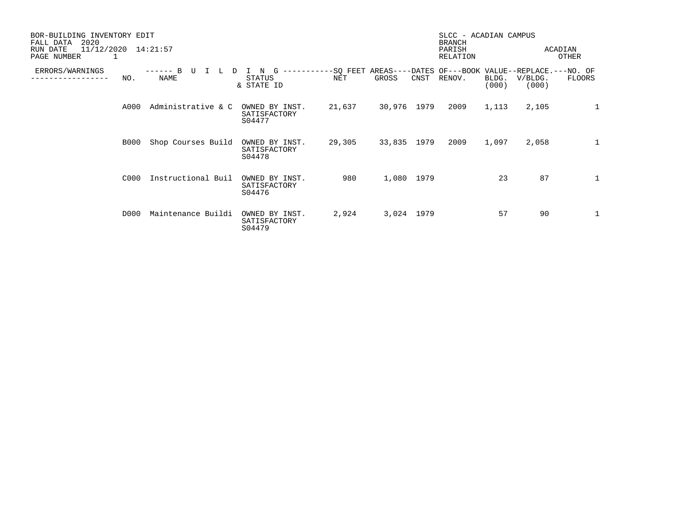| BOR-BUILDING INVENTORY EDIT<br>2020<br>FALL DATA<br>11/12/2020<br>RUN DATE<br>PAGE NUMBER |             | 14:21:57           |                                          |                 |                   |      | SLCC - ACADIAN CAMPUS<br><b>BRANCH</b><br>PARISH<br>RELATION |                |                  | ACADIAN<br><b>OTHER</b> |
|-------------------------------------------------------------------------------------------|-------------|--------------------|------------------------------------------|-----------------|-------------------|------|--------------------------------------------------------------|----------------|------------------|-------------------------|
| ERRORS/WARNINGS                                                                           | NO.         | <b>NAME</b>        | <b>STATUS</b><br>& STATE ID              | -SQ FEET<br>NET | AREAS---<br>GROSS | CNST | -DATES OF---BOOK VALUE--REPLACE.---NO. OF<br>RENOV.          | BLDG.<br>(000) | V/BLDG.<br>(000) | FLOORS                  |
|                                                                                           | A000        | Administrative & C | OWNED BY INST.<br>SATISFACTORY<br>S04477 | 21,637          | 30,976 1979       |      | 2009                                                         | 1,113          | 2,105            | 1                       |
|                                                                                           | <b>B000</b> | Shop Courses Build | OWNED BY INST.<br>SATISFACTORY<br>S04478 | 29,305          | 33,835 1979       |      | 2009                                                         | 1,097          | 2,058            | $\mathbf{1}$            |
|                                                                                           | C000        | Instructional Buil | OWNED BY INST.<br>SATISFACTORY<br>S04476 | 980             | 1,080 1979        |      |                                                              | 23             | 87               | $\mathbf{1}$            |
|                                                                                           | D000        | Maintenance Buildi | OWNED BY INST.<br>SATISFACTORY<br>S04479 | 2,924           | 3,024 1979        |      |                                                              | 57             | 90               | $\mathbf{1}$            |